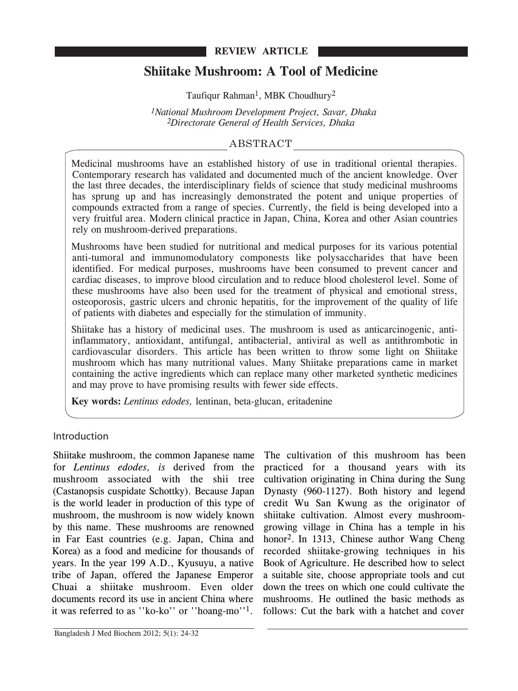## **REVIEW ARTICLE**

# **Shiitake Mushroom: A Tool of Medicine**

Taufiqur Rahman<sup>1</sup>, MBK Choudhury<sup>2</sup>

 *1National Mushroom Development Project, Savar, Dhaka 2Directorate General of Health Services, Dhaka*

## ABSTRACT

Medicinal mushrooms have an established history of use in traditional oriental therapies. Contemporary research has validated and documented much of the ancient knowledge. Over the last three decades, the interdisciplinary fields of science that study medicinal mushrooms has sprung up and has increasingly demonstrated the potent and unique properties of compounds extracted from a range of species. Currently, the field is being developed into a very fruitful area. Modern clinical practice in Japan, China, Korea and other Asian countries rely on mushroom-derived preparations.

Mushrooms have been studied for nutritional and medical purposes for its various potential anti-tumoral and immunomodulatory componests like polysaccharides that have been identified. For medical purposes, mushrooms have been consumed to prevent cancer and cardiac diseases, to improve blood circulation and to reduce blood cholesterol level. Some of these mushrooms have also been used for the treatment of physical and emotional stress, osteoporosis, gastric ulcers and chronic hepatitis, for the improvement of the quality of life of patients with diabetes and especially for the stimulation of immunity.

Shiitake has a history of medicinal uses. The mushroom is used as anticarcinogenic, antiinflammatory, antioxidant, antifungal, antibacterial, antiviral as well as antithrombotic in cardiovascular disorders. This article has been written to throw some light on Shiitake mushroom which has many nutritional values. Many Shiitake preparations came in market containing the active ingredients which can replace many other marketed synthetic medicines and may prove to have promising results with fewer side effects.

**Key words:** *Lentinus edodes,* lentinan, beta-glucan, eritadenine

## Introduction

Shiitake mushroom, the common Japanese name for *Lentinus edodes, is* derived from the mushroom associated with the shii tree (Castanopsis cuspidate Schottky). Because Japan is the world leader in production of this type of mushroom, the mushroom is now widely known by this name. These mushrooms are renowned in Far East countries (e.g. Japan, China and Korea) as a food and medicine for thousands of years. In the year 199 A.D., Kyusuyu, a native tribe of Japan, offered the Japanese Emperor Chuai a shiitake mushroom. Even older documents record its use in ancient China where it was referred to as ''ko-ko'' or ''hoang-mo''1.

The cultivation of this mushroom has been practiced for a thousand years with its cultivation originating in China during the Sung Dynasty (960-1127). Both history and legend credit Wu San Kwung as the originator of shiitake cultivation. Almost every mushroomgrowing village in China has a temple in his honor<sup>2</sup>. In 1313, Chinese author Wang Cheng recorded shiitake-growing techniques in his Book of Agriculture. He described how to select a suitable site, choose appropriate tools and cut down the trees on which one could cultivate the mushrooms. He outlined the basic methods as follows: Cut the bark with a hatchet and cover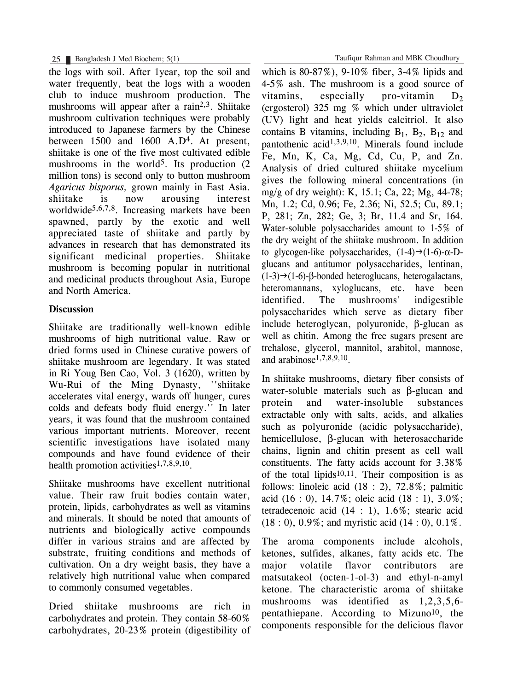### 25 Bangladesh J Med Biochem; 5(1) Taufiqur Rahman and MBK Choudhury

the logs with soil. After 1year, top the soil and water frequently, beat the logs with a wooden club to induce mushroom production. The mushrooms will appear after a rain<sup>2,3</sup>. Shiitake mushroom cultivation techniques were probably introduced to Japanese farmers by the Chinese between  $1500$  and  $1600$  A.D<sup>4</sup>. At present, shiitake is one of the five most cultivated edible mushrooms in the world<sup>5</sup>. Its production  $(2)$ million tons) is second only to button mushroom *Agaricus bisporus,* grown mainly in East Asia. shiitake is now arousing interest worldwide<sup>5,6,7,8</sup>. Increasing markets have been spawned, partly by the exotic and well appreciated taste of shiitake and partly by advances in research that has demonstrated its significant medicinal properties. Shiitake mushroom is becoming popular in nutritional and medicinal products throughout Asia, Europe and North America.

### **Discussion**

Shiitake are traditionally well-known edible mushrooms of high nutritional value. Raw or dried forms used in Chinese curative powers of shiitake mushroom are legendary. It was stated in Ri Youg Ben Cao, Vol. 3 (1620), written by Wu-Rui of the Ming Dynasty, ''shiitake accelerates vital energy, wards off hunger, cures colds and defeats body fluid energy.'' In later years, it was found that the mushroom contained various important nutrients. Moreover, recent scientific investigations have isolated many compounds and have found evidence of their health promotion activities<sup>1,7,8,9,10</sup>.

Shiitake mushrooms have excellent nutritional value. Their raw fruit bodies contain water, protein, lipids, carbohydrates as well as vitamins and minerals. It should be noted that amounts of nutrients and biologically active compounds differ in various strains and are affected by substrate, fruiting conditions and methods of cultivation. On a dry weight basis, they have a relatively high nutritional value when compared to commonly consumed vegetables.

Dried shiitake mushrooms are rich in carbohydrates and protein. They contain 58-60% carbohydrates, 20-23% protein (digestibility of

which is 80-87%), 9-10% fiber, 3-4% lipids and 4-5% ash. The mushroom is a good source of vitamins, especially pro-vitamin  $D_2$ (ergosterol) 325 mg % which under ultraviolet (UV) light and heat yields calcitriol. It also contains B vitamins, including  $B_1$ ,  $B_2$ ,  $B_{12}$  and pantothenic acid<sup>1,3,9,10</sup>. Minerals found include Fe, Mn, K, Ca, Mg, Cd, Cu, P, and Zn. Analysis of dried cultured shiitake mycelium gives the following mineral concentrations (in mg/g of dry weight): K, 15.1; Ca, 22; Mg, 44-78; Mn, 1.2; Cd, 0.96; Fe, 2.36; Ni, 52.5; Cu, 89.1; P, 281; Zn, 282; Ge, 3; Br, 11.4 and Sr, 164. Water-soluble polysaccharides amount to 1-5% of the dry weight of the shiitake mushroom. In addition to glycogen-like polysaccharides,  $(1-4) \rightarrow (1-6) - \alpha - D$ glucans and antitumor polysaccharides, lentinan,  $(1-3) \rightarrow (1-6)$ -β-bonded heteroglucans, heterogalactans, heteromannans, xyloglucans, etc. have been identified. The mushrooms' indigestible polysaccharides which serve as dietary fiber include heteroglycan, polyuronide, β-glucan as well as chitin. Among the free sugars present are trehalose, glycerol, mannitol, arabitol, mannose, and arabinose $1,7,8,9,10$ .

In shiitake mushrooms, dietary fiber consists of water-soluble materials such as β-glucan and protein and water-insoluble substances extractable only with salts, acids, and alkalies such as polyuronide (acidic polysaccharide), hemicellulose, β-glucan with heterosaccharide chains, lignin and chitin present as cell wall constituents. The fatty acids account for 3.38% of the total lipids10,11. Their composition is as follows: linoleic acid (18 : 2), 72.8%; palmitic acid (16 : 0), 14.7%; oleic acid (18 : 1), 3.0%; tetradecenoic acid (14 : 1), 1.6%; stearic acid  $(18:0)$ ,  $0.9\%$ ; and myristic acid  $(14:0)$ ,  $0.1\%$ .

The aroma components include alcohols, ketones, sulfides, alkanes, fatty acids etc. The major volatile flavor contributors are matsutakeol (octen-1-ol-3) and ethyl-n-amyl ketone. The characteristic aroma of shiitake mushrooms was identified as 1,2,3,5,6 pentathiepane. According to Mizuno<sup>10</sup>, the components responsible for the delicious flavor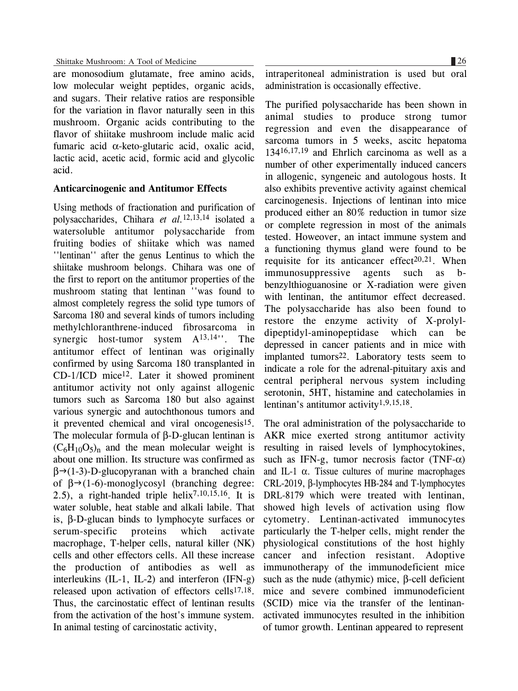are monosodium glutamate, free amino acids, low molecular weight peptides, organic acids, and sugars. Their relative ratios are responsible for the variation in flavor naturally seen in this mushroom. Organic acids contributing to the flavor of shiitake mushroom include malic acid fumaric acid α-keto-glutaric acid, oxalic acid, lactic acid, acetic acid, formic acid and glycolic acid.

### **Anticarcinogenic and Antitumor Effects**

Using methods of fractionation and purification of polysaccharides, Chihara *et al.*12,13,14 isolated a watersoluble antitumor polysaccharide from fruiting bodies of shiitake which was named ''lentinan'' after the genus Lentinus to which the shiitake mushroom belongs. Chihara was one of the first to report on the antitumor properties of the mushroom stating that lentinan ''was found to almost completely regress the solid type tumors of Sarcoma 180 and several kinds of tumors including methylchloranthrene-induced fibrosarcoma in synergic host-tumor system  $A^{13,14}$ . The antitumor effect of lentinan was originally confirmed by using Sarcoma 180 transplanted in CD-1/ICD mice12. Later it showed prominent antitumor activity not only against allogenic tumors such as Sarcoma 180 but also against various synergic and autochthonous tumors and it prevented chemical and viral oncogenesis15. The molecular formula of  $β$ -D-glucan lentinan is  $(C_6H_{10}O_5)$ <sub>n</sub> and the mean molecular weight is about one million. Its structure was confirmed as  $\beta \rightarrow (1-3)$ -D-glucopyranan with a branched chain of  $\beta \rightarrow (1-6)$ -monoglycosyl (branching degree: 2.5), a right-handed triple helix<sup>7,10,15,16</sup>. It is water soluble, heat stable and alkali labile. That is, β-D-glucan binds to lymphocyte surfaces or serum-specific proteins which activate macrophage, T-helper cells, natural killer (NK) cells and other effectors cells. All these increase the production of antibodies as well as interleukins (IL-1, IL-2) and interferon (IFN-g) released upon activation of effectors cells17,18. Thus, the carcinostatic effect of lentinan results from the activation of the host's immune system. In animal testing of carcinostatic activity,

intraperitoneal administration is used but oral administration is occasionally effective.

The purified polysaccharide has been shown in animal studies to produce strong tumor regression and even the disappearance of sarcoma tumors in 5 weeks, ascitc hepatoma 13416,17,19 and Ehrlich carcinoma as well as a number of other experimentally induced cancers in allogenic, syngeneic and autologous hosts. It also exhibits preventive activity against chemical carcinogenesis. Injections of lentinan into mice produced either an 80% reduction in tumor size or complete regression in most of the animals tested. Howeover, an intact immune system and a functioning thymus gland were found to be requisite for its anticancer effect<sup>20,21</sup>. When immunosuppressive agents such as bbenzylthioguanosine or X-radiation were given with lentinan, the antitumor effect decreased. The polysaccharide has also been found to restore the enzyme activity of X-prolyldipeptidyl-aminopeptidase which can be depressed in cancer patients and in mice with implanted tumors22. Laboratory tests seem to indicate a role for the adrenal-pituitary axis and central peripheral nervous system including serotonin, 5HT, histamine and catecholamies in lentinan's antitumor activity<sup>1,9,15,18</sup>.

The oral administration of the polysaccharide to AKR mice exerted strong antitumor activity resulting in raised levels of lymphocytokines, such as IFN-g, tumor necrosis factor (TNF- $\alpha$ ) and IL-1  $\alpha$ . Tissue cultures of murine macrophages CRL-2019, β-lymphocytes HB-284 and T-lymphocytes DRL-8179 which were treated with lentinan, showed high levels of activation using flow cytometry. Lentinan-activated immunocytes particularly the T-helper cells, might render the physiological constitutions of the host highly cancer and infection resistant. Adoptive immunotherapy of the immunodeficient mice such as the nude (athymic) mice, β-cell deficient mice and severe combined immunodeficient (SCID) mice via the transfer of the lentinanactivated immunocytes resulted in the inhibition of tumor growth. Lentinan appeared to represent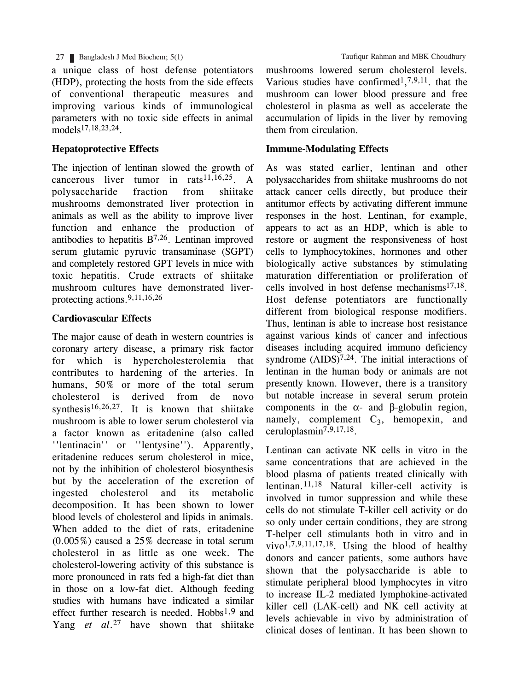a unique class of host defense potentiators (HDP), protecting the hosts from the side effects of conventional therapeutic measures and improving various kinds of immunological parameters with no toxic side effects in animal  $m$ odels<sup>17,18,23,24</sup>

## **Hepatoprotective Effects**

The injection of lentinan slowed the growth of cancerous liver tumor in rats<sup>11,16,25</sup>. A polysaccharide fraction from shiitake mushrooms demonstrated liver protection in animals as well as the ability to improve liver function and enhance the production of antibodies to hepatitis B7,26. Lentinan improved serum glutamic pyruvic transaminase (SGPT) and completely restored GPT levels in mice with toxic hepatitis. Crude extracts of shiitake mushroom cultures have demonstrated liverprotecting actions.9,11,16,26

## **Cardiovascular Effects**

The major cause of death in western countries is coronary artery disease, a primary risk factor for which is hypercholesterolemia that contributes to hardening of the arteries. In humans, 50% or more of the total serum cholesterol is derived from de novo synthesis<sup>16,26,27</sup>. It is known that shiitake mushroom is able to lower serum cholesterol via a factor known as eritadenine (also called ''lentinacin'' or ''lentysine''). Apparently, eritadenine reduces serum cholesterol in mice, not by the inhibition of cholesterol biosynthesis but by the acceleration of the excretion of ingested cholesterol and its metabolic decomposition. It has been shown to lower blood levels of cholesterol and lipids in animals. When added to the diet of rats, eritadenine (0.005%) caused a 25% decrease in total serum cholesterol in as little as one week. The cholesterol-lowering activity of this substance is more pronounced in rats fed a high-fat diet than in those on a low-fat diet. Although feeding studies with humans have indicated a similar effect further research is needed. Hobbs1,9 and Yang *et al*.27 have shown that shiitake mushrooms lowered serum cholesterol levels. Various studies have confirmed<sup>1,7,9,11</sup>, that the mushroom can lower blood pressure and free cholesterol in plasma as well as accelerate the accumulation of lipids in the liver by removing them from circulation.

## **Immune-Modulating Effects**

As was stated earlier, lentinan and other polysaccharides from shiitake mushrooms do not attack cancer cells directly, but produce their antitumor effects by activating different immune responses in the host. Lentinan, for example, appears to act as an HDP, which is able to restore or augment the responsiveness of host cells to lymphocytokines, hormones and other biologically active substances by stimulating maturation differentiation or proliferation of cells involved in host defense mechanisms $17,18$ . Host defense potentiators are functionally different from biological response modifiers. Thus, lentinan is able to increase host resistance against various kinds of cancer and infectious diseases including acquired immuno deficiency syndrome  $(AIDS)^{7,24}$ . The initial interactions of lentinan in the human body or animals are not presently known. However, there is a transitory but notable increase in several serum protein components in the  $\alpha$ - and  $\beta$ -globulin region, namely, complement  $C_3$ , hemopexin, and ceruloplasmin $^{7,9,17,18}$ .

Lentinan can activate NK cells in vitro in the same concentrations that are achieved in the blood plasma of patients treated clinically with lentinan.11,18 Natural killer-cell activity is involved in tumor suppression and while these cells do not stimulate T-killer cell activity or do so only under certain conditions, they are strong T-helper cell stimulants both in vitro and in vivo<sup>1,7,9,11,17,18</sup>. Using the blood of healthy donors and cancer patients, some authors have shown that the polysaccharide is able to stimulate peripheral blood lymphocytes in vitro to increase IL-2 mediated lymphokine-activated killer cell (LAK-cell) and NK cell activity at levels achievable in vivo by administration of clinical doses of lentinan. It has been shown to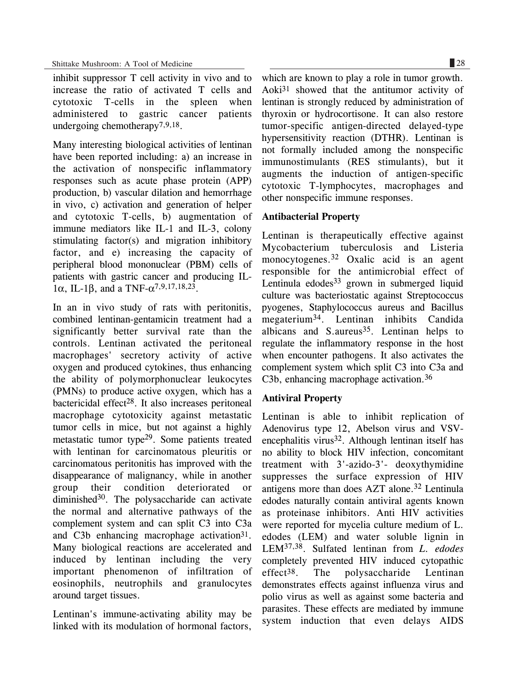inhibit suppressor T cell activity in vivo and to increase the ratio of activated T cells and cytotoxic T-cells in the spleen when administered to gastric cancer patients undergoing chemotherapy7,9,18.

Many interesting biological activities of lentinan have been reported including: a) an increase in the activation of nonspecific inflammatory responses such as acute phase protein (APP) production, b) vascular dilation and hemorrhage in vivo, c) activation and generation of helper and cytotoxic T-cells, b) augmentation of immune mediators like IL-1 and IL-3, colony stimulating factor(s) and migration inhibitory factor, and e) increasing the capacity of peripheral blood mononuclear (PBM) cells of patients with gastric cancer and producing IL-1α, IL-1β, and a TNF- $α^{7,9,17,18,23}$ .

In an in vivo study of rats with peritonitis, combined lentinan-gentamicin treatment had a significantly better survival rate than the controls. Lentinan activated the peritoneal macrophages' secretory activity of active oxygen and produced cytokines, thus enhancing the ability of polymorphonuclear leukocytes (PMNs) to produce active oxygen, which has a bactericidal effect 28. It also increases peritoneal macrophage cytotoxicity against metastatic tumor cells in mice, but not against a highly metastatic tumor type29. Some patients treated with lentinan for carcinomatous pleuritis or carcinomatous peritonitis has improved with the disappearance of malignancy, while in another group their condition deteriorated or diminished $30$ . The polysaccharide can activate the normal and alternative pathways of the complement system and can split C3 into C3a and C3b enhancing macrophage activation<sup>31</sup>. Many biological reactions are accelerated and induced by lentinan including the very important phenomenon of infiltration of eosinophils, neutrophils and granulocytes around target tissues.

Lentinan's immune-activating ability may be linked with its modulation of hormonal factors,

which are known to play a role in tumor growth. Aoki31 showed that the antitumor activity of lentinan is strongly reduced by administration of thyroxin or hydrocortisone. It can also restore tumor-specific antigen-directed delayed-type hypersensitivity reaction (DTHR). Lentinan is not formally included among the nonspecific immunostimulants (RES stimulants), but it augments the induction of antigen-specific cytotoxic T-lymphocytes, macrophages and other nonspecific immune responses.

## **Antibacterial Property**

Lentinan is therapeutically effective against Mycobacterium tuberculosis and Listeria monocytogenes.<sup>32</sup> Oxalic acid is an agent responsible for the antimicrobial effect of Lentinula edodes $33$  grown in submerged liquid culture was bacteriostatic against Streptococcus pyogenes, Staphylococcus aureus and Bacillus megaterium34. Lentinan inhibits Candida albicans and  $S$ . aureus<sup>35</sup>. Lentinan helps to regulate the inflammatory response in the host when encounter pathogens. It also activates the complement system which split C3 into C3a and C3b, enhancing macrophage activation.<sup>36</sup>

## **Antiviral Property**

Lentinan is able to inhibit replication of Adenovirus type 12, Abelson virus and VSVencephalitis virus $32$ . Although lentinan itself has no ability to block HIV infection, concomitant treatment with 3'-azido-3'- deoxythymidine suppresses the surface expression of HIV antigens more than does AZT alone.32 Lentinula edodes naturally contain antiviral agents known as proteinase inhibitors. Anti HIV activities were reported for mycelia culture medium of L. edodes (LEM) and water soluble lignin in LEM37,38. Sulfated lentinan from *L. edodes* completely prevented HIV induced cytopathic effect38. The polysaccharide Lentinan demonstrates effects against influenza virus and polio virus as well as against some bacteria and parasites. These effects are mediated by immune system induction that even delays AIDS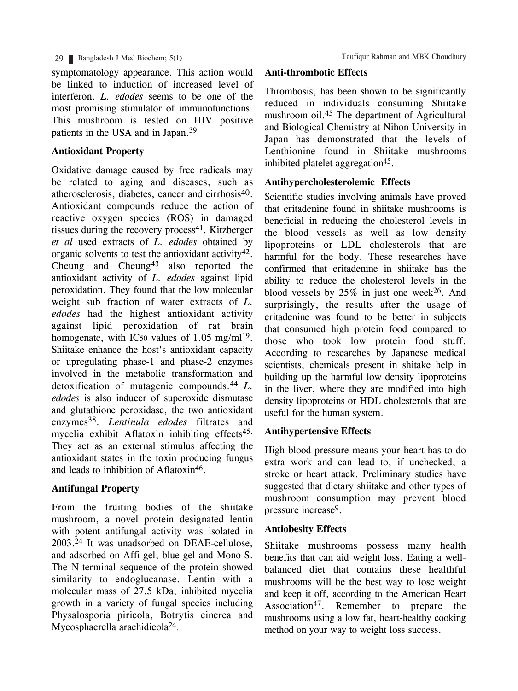symptomatology appearance. This action would be linked to induction of increased level of interferon. *L. edodes* seems to be one of the most promising stimulator of immunofunctions. This mushroom is tested on HIV positive patients in the USA and in Japan.39

## **Antioxidant Property**

Oxidative damage caused by free radicals may be related to aging and diseases, such as atherosclerosis, diabetes, cancer and cirrhosis40. Antioxidant compounds reduce the action of reactive oxygen species (ROS) in damaged tissues during the recovery process<sup>41</sup>. Kitzberger *et al* used extracts of *L. edodes* obtained by organic solvents to test the antioxidant activity  $42$ . Cheung and Cheung<sup>43</sup> also reported the antioxidant activity of *L. edodes* against lipid peroxidation. They found that the low molecular weight sub fraction of water extracts of *L. edodes* had the highest antioxidant activity against lipid peroxidation of rat brain homogenate, with IC50 values of 1.05 mg/ml<sup>19</sup>. Shiitake enhance the host's antioxidant capacity or upregulating phase-1 and phase-2 enzymes involved in the metabolic transformation and detoxification of mutagenic compounds.44 *L. edodes* is also inducer of superoxide dismutase and glutathione peroxidase, the two antioxidant enzymes38. *Lentinula edodes* filtrates and mycelia exhibit Aflatoxin inhibiting effects<sup>45.</sup> They act as an external stimulus affecting the antioxidant states in the toxin producing fungus and leads to inhibition of Aflatoxin<sup>46</sup>.

## **Antifungal Property**

From the fruiting bodies of the shiitake mushroom, a novel protein designated lentin with potent antifungal activity was isolated in 2003.24 It was unadsorbed on DEAE-cellulose, and adsorbed on Affi-gel, blue gel and Mono S. The N-terminal sequence of the protein showed similarity to endoglucanase. Lentin with a molecular mass of 27.5 kDa, inhibited mycelia growth in a variety of fungal species including Physalosporia piricola, Botrytis cinerea and Mycosphaerella arachidicola<sup>24</sup>.

### **Anti-thrombotic Effects**

Thrombosis, has been shown to be significantly reduced in individuals consuming Shiitake mushroom oil.45 The department of Agricultural and Biological Chemistry at Nihon University in Japan has demonstrated that the levels of Lenthionine found in Shiitake mushrooms inhibited platelet aggregation<sup>45</sup>.

## **Antihypercholesterolemic Effects**

Scientific studies involving animals have proved that eritadenine found in shiitake mushrooms is beneficial in reducing the cholesterol levels in the blood vessels as well as low density lipoproteins or LDL cholesterols that are harmful for the body. These researches have confirmed that eritadenine in shiitake has the ability to reduce the cholesterol levels in the blood vessels by  $25\%$  in just one week<sup>26</sup>. And surprisingly, the results after the usage of eritadenine was found to be better in subjects that consumed high protein food compared to those who took low protein food stuff. According to researches by Japanese medical scientists, chemicals present in shitake help in building up the harmful low density lipoproteins in the liver, where they are modified into high density lipoproteins or HDL cholesterols that are useful for the human system.

## **Antihypertensive Effects**

High blood pressure means your heart has to do extra work and can lead to, if unchecked, a stroke or heart attack. Preliminary studies have suggested that dietary shiitake and other types of mushroom consumption may prevent blood pressure increase9.

## **Antiobesity Effects**

Shiitake mushrooms possess many health benefits that can aid weight loss. Eating a wellbalanced diet that contains these healthful mushrooms will be the best way to lose weight and keep it off, according to the American Heart Association<sup>47</sup>. Remember to prepare the mushrooms using a low fat, heart-healthy cooking method on your way to weight loss success.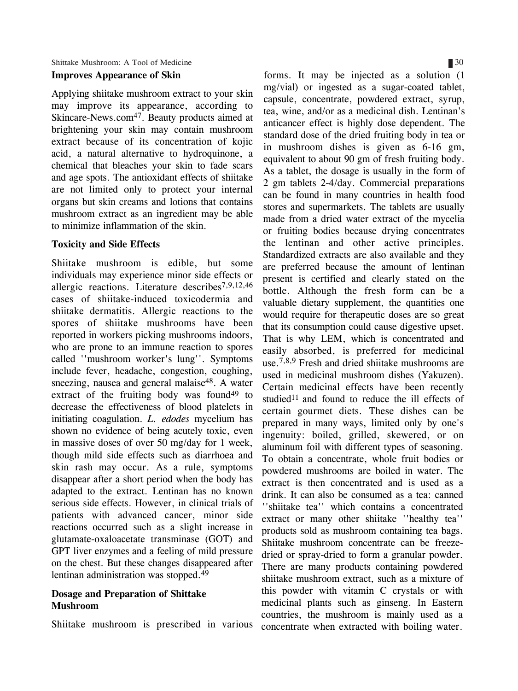### **Improves Appearance of Skin**

Applying shiitake mushroom extract to your skin may improve its appearance, according to Skincare-News.com<sup>47</sup>. Beauty products aimed at brightening your skin may contain mushroom extract because of its concentration of kojic acid, a natural alternative to hydroquinone, a chemical that bleaches your skin to fade scars and age spots. The antioxidant effects of shiitake are not limited only to protect your internal organs but skin creams and lotions that contains mushroom extract as an ingredient may be able to minimize inflammation of the skin.

#### **Toxicity and Side Effects**

Shiitake mushroom is edible, but some individuals may experience minor side effects or allergic reactions. Literature describes7,9,12,46 cases of shiitake-induced toxicodermia and shiitake dermatitis. Allergic reactions to the spores of shiitake mushrooms have been reported in workers picking mushrooms indoors, who are prone to an immune reaction to spores called ''mushroom worker's lung''. Symptoms include fever, headache, congestion, coughing, sneezing, nausea and general malaise<sup>48</sup>. A water extract of the fruiting body was found<sup>49</sup> to decrease the effectiveness of blood platelets in initiating coagulation. *L. edodes* mycelium has shown no evidence of being acutely toxic, even in massive doses of over 50 mg/day for 1 week, though mild side effects such as diarrhoea and skin rash may occur. As a rule, symptoms disappear after a short period when the body has adapted to the extract. Lentinan has no known serious side effects. However, in clinical trials of patients with advanced cancer, minor side reactions occurred such as a slight increase in glutamate-oxaloacetate transminase (GOT) and GPT liver enzymes and a feeling of mild pressure on the chest. But these changes disappeared after lentinan administration was stopped.49

### **Dosage and Preparation of Shittake Mushroom**

Shiitake mushroom is prescribed in various

forms. It may be injected as a solution (1 mg/vial) or ingested as a sugar-coated tablet, capsule, concentrate, powdered extract, syrup, tea, wine, and/or as a medicinal dish. Lentinan's anticancer effect is highly dose dependent. The standard dose of the dried fruiting body in tea or in mushroom dishes is given as 6-16 gm, equivalent to about 90 gm of fresh fruiting body. As a tablet, the dosage is usually in the form of 2 gm tablets 2-4/day. Commercial preparations can be found in many countries in health food stores and supermarkets. The tablets are usually made from a dried water extract of the mycelia or fruiting bodies because drying concentrates the lentinan and other active principles. Standardized extracts are also available and they are preferred because the amount of lentinan present is certified and clearly stated on the bottle. Although the fresh form can be a valuable dietary supplement, the quantities one would require for therapeutic doses are so great that its consumption could cause digestive upset. That is why LEM, which is concentrated and easily absorbed, is preferred for medicinal use.<sup>7,8,9</sup> Fresh and dried shiitake mushrooms are used in medicinal mushroom dishes (Yakuzen). Certain medicinal effects have been recently studied<sup>11</sup> and found to reduce the ill effects of certain gourmet diets. These dishes can be prepared in many ways, limited only by one's ingenuity: boiled, grilled, skewered, or on aluminum foil with different types of seasoning. To obtain a concentrate, whole fruit bodies or powdered mushrooms are boiled in water. The extract is then concentrated and is used as a drink. It can also be consumed as a tea: canned ''shiitake tea'' which contains a concentrated extract or many other shiitake ''healthy tea'' products sold as mushroom containing tea bags. Shiitake mushroom concentrate can be freezedried or spray-dried to form a granular powder. There are many products containing powdered shiitake mushroom extract, such as a mixture of this powder with vitamin C crystals or with medicinal plants such as ginseng. In Eastern countries, the mushroom is mainly used as a concentrate when extracted with boiling water.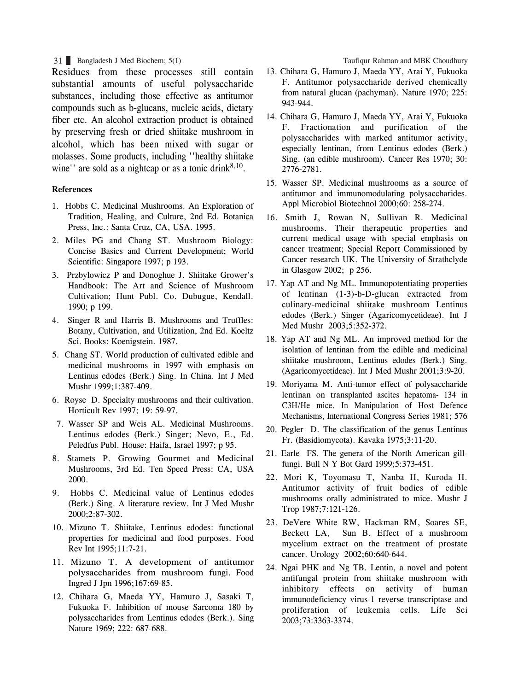#### 31 Bangladesh J Med Biochem; 5(1) Taufiqur Rahman and MBK Choudhury

Residues from these processes still contain substantial amounts of useful polysaccharide substances, including those effective as antitumor compounds such as b-glucans, nucleic acids, dietary fiber etc. An alcohol extraction product is obtained by preserving fresh or dried shiitake mushroom in alcohol, which has been mixed with sugar or molasses. Some products, including ''healthy shiitake wine'' are sold as a nightcap or as a tonic drink $8,10$ .

#### **References**

- 1. Hobbs C. Medicinal Mushrooms. An Exploration of Tradition, Healing, and Culture, 2nd Ed. Botanica Press, Inc.: Santa Cruz, CA, USA. 1995.
- 2. Miles PG and Chang ST. Mushroom Biology: Concise Basics and Current Development; World Scientific: Singapore 1997; p 193.
- 3. Przbylowicz P and Donoghue J. Shiitake Grower's Handbook: The Art and Science of Mushroom Cultivation; Hunt Publ. Co. Dubugue, Kendall. 1990; p 199.
- 4. Singer R and Harris B. Mushrooms and Truffles: Botany, Cultivation, and Utilization, 2nd Ed. Koeltz Sci. Books: Koenigstein. 1987.
- 5. Chang ST. World production of cultivated edible and medicinal mushrooms in 1997 with emphasis on Lentinus edodes (Berk.) Sing. In China. Int J Med Mushr 1999;1:387-409.
- 6. Royse D. Specialty mushrooms and their cultivation. Horticult Rev 1997; 19: 59-97.
- 7. Wasser SP and Weis AL. Medicinal Mushrooms. Lentinus edodes (Berk.) Singer; Nevo, E., Ed. Peledfus Publ. House: Haifa, Israel 1997; p 95.
- 8. Stamets P. Growing Gourmet and Medicinal Mushrooms, 3rd Ed. Ten Speed Press: CA, USA 2000.
- 9. Hobbs C. Medicinal value of Lentinus edodes (Berk.) Sing. A literature review. Int J Med Mushr 2000;2:87-302.
- 10. Mizuno T. Shiitake, Lentinus edodes: functional properties for medicinal and food purposes. Food Rev Int 1995;11:7-21.
- 11. Mizuno T. A development of antitumor polysaccharides from mushroom fungi. Food Ingred J Jpn 1996;167:69-85.
- 12. Chihara G, Maeda YY, Hamuro J, Sasaki T, Fukuoka F. Inhibition of mouse Sarcoma 180 by polysaccharides from Lentinus edodes (Berk.). Sing Nature 1969; 222: 687-688.

- 13. Chihara G, Hamuro J, Maeda YY, Arai Y, Fukuoka F. Antitumor polysaccharide derived chemically from natural glucan (pachyman). Nature 1970; 225: 943-944.
- 14. Chihara G, Hamuro J, Maeda YY, Arai Y, Fukuoka F. Fractionation and purification of the polysaccharides with marked antitumor activity, especially lentinan, from Lentinus edodes (Berk.) Sing. (an edible mushroom). Cancer Res 1970; 30: 2776-2781.
- 15. Wasser SP. Medicinal mushrooms as a source of antitumor and immunomodulating polysaccharides. Appl Microbiol Biotechnol 2000;60: 258-274.
- 16. Smith J, Rowan N, Sullivan R. Medicinal mushrooms. Their therapeutic properties and current medical usage with special emphasis on cancer treatment; Special Report Commissioned by Cancer research UK. The University of Strathclyde in Glasgow 2002; p 256.
- 17. Yap AT and Ng ML. Immunopotentiating properties of lentinan (1-3)-b-D-glucan extracted from culinary-medicinal shiitake mushroom Lentinus edodes (Berk.) Singer (Agaricomycetideae). Int J Med Mushr 2003;5:352-372.
- 18. Yap AT and Ng ML. An improved method for the isolation of lentinan from the edible and medicinal shiitake mushroom, Lentinus edodes (Berk.) Sing. (Agaricomycetideae). Int J Med Mushr 2001;3:9-20.
- 19. Moriyama M. Anti-tumor effect of polysaccharide lentinan on transplanted ascites hepatoma- 134 in C3H/He mice. In Manipulation of Host Defence Mechanisms, International Congress Series 1981; 576
- 20. Pegler D. The classification of the genus Lentinus Fr. (Basidiomycota). Kavaka 1975;3:11-20.
- 21. Earle FS. The genera of the North American gillfungi. Bull N Y Bot Gard 1999;5:373-451.
- 22. Mori K, Toyomasu T, Nanba H, Kuroda H. Antitumor activity of fruit bodies of edible mushrooms orally administrated to mice. Mushr J Trop 1987;7:121-126.
- 23. DeVere White RW, Hackman RM, Soares SE, Beckett LA, Sun B. Effect of a mushroom mycelium extract on the treatment of prostate cancer. Urology 2002;60:640-644.
- 24. Ngai PHK and Ng TB. Lentin, a novel and potent antifungal protein from shiitake mushroom with inhibitory effects on activity of human immunodeficiency virus-1 reverse transcriptase and proliferation of leukemia cells. Life Sci 2003;73:3363-3374.